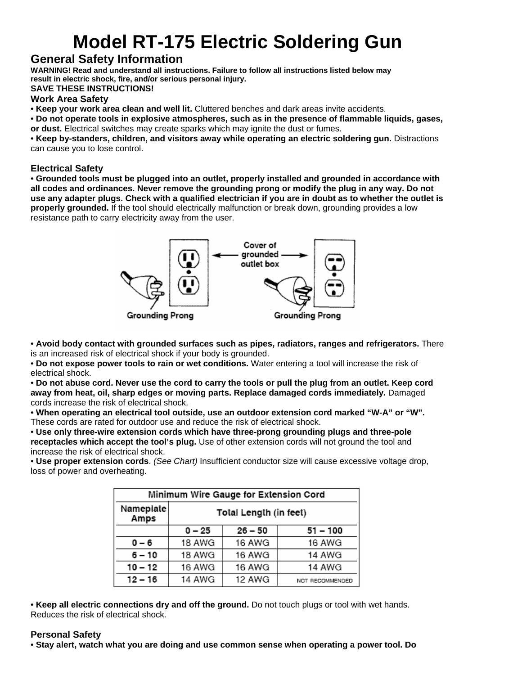# **Model RT-175 Electric Soldering Gun**

## **General Safety Information**

**WARNING! Read and understand all instructions. Failure to follow all instructions listed below may result in electric shock, fire, and/or serious personal injury.** 

#### **SAVE THESE INSTRUCTIONS!**

#### **Work Area Safety**

• **Keep your work area clean and well lit.** Cluttered benches and dark areas invite accidents.

• **Do not operate tools in explosive atmospheres, such as in the presence of flammable liquids, gases, or dust.** Electrical switches may create sparks which may ignite the dust or fumes.

• **Keep by-standers, children, and visitors away while operating an electric soldering gun.** Distractions can cause you to lose control.

#### **Electrical Safety**

• **Grounded tools must be plugged into an outlet, properly installed and grounded in accordance with all codes and ordinances. Never remove the grounding prong or modify the plug in any way. Do not use any adapter plugs. Check with a qualified electrician if you are in doubt as to whether the outlet is properly grounded.** If the tool should electrically malfunction or break down, grounding provides a low resistance path to carry electricity away from the user.



• **Avoid body contact with grounded surfaces such as pipes, radiators, ranges and refrigerators.** There is an increased risk of electrical shock if your body is grounded.

• **Do not expose power tools to rain or wet conditions.** Water entering a tool will increase the risk of electrical shock.

• **Do not abuse cord. Never use the cord to carry the tools or pull the plug from an outlet. Keep cord away from heat, oil, sharp edges or moving parts. Replace damaged cords immediately.** Damaged cords increase the risk of electrical shock.

• **When operating an electrical tool outside, use an outdoor extension cord marked "W-A" or "W".**  These cords are rated for outdoor use and reduce the risk of electrical shock.

• **Use only three-wire extension cords which have three-prong grounding plugs and three-pole receptacles which accept the tool's plug.** Use of other extension cords will not ground the tool and increase the risk of electrical shock.

• **Use proper extension cords**. *(See Chart)* Insufficient conductor size will cause excessive voltage drop, loss of power and overheating.

| Minimum Wire Gauge for Extension Cord |                        |           |                 |  |
|---------------------------------------|------------------------|-----------|-----------------|--|
| Nameplate<br>Amps                     | Total Length (in feet) |           |                 |  |
|                                       | $0 - 25$               | $26 - 50$ | $51 - 100$      |  |
| $0 - 6$                               | 18 AWG                 | 16 AWG    | 16 AWG          |  |
| $6 - 10$                              | 18 AWG                 | 16 AWG    | 14 AWG          |  |
| $10 - 12$                             | 16 AWG                 | 16 AWG    | 14 AWG          |  |
| $12 - 16$                             | 14 AWG                 | 12 AWG    | NOT RECOMMENDED |  |

• **Keep all electric connections dry and off the ground.** Do not touch plugs or tool with wet hands. Reduces the risk of electrical shock.

#### **Personal Safety**

• **Stay alert, watch what you are doing and use common sense when operating a power tool. Do**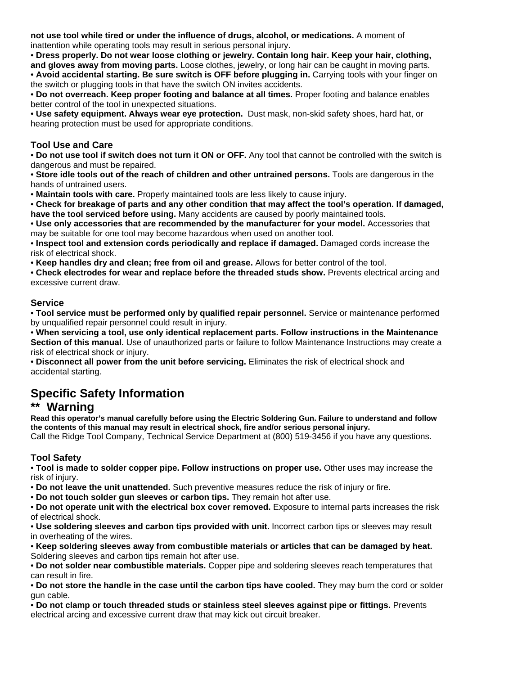**not use tool while tired or under the influence of drugs, alcohol, or medications.** A moment of inattention while operating tools may result in serious personal injury.

• **Dress properly. Do not wear loose clothing or jewelry. Contain long hair. Keep your hair, clothing, and gloves away from moving parts.** Loose clothes, jewelry, or long hair can be caught in moving parts. • **Avoid accidental starting. Be sure switch is OFF before plugging in.** Carrying tools with your finger on

the switch or plugging tools in that have the switch ON invites accidents. • **Do not overreach. Keep proper footing and balance at all times.** Proper footing and balance enables better control of the tool in unexpected situations.

• **Use safety equipment. Always wear eye protection.** Dust mask, non-skid safety shoes, hard hat, or hearing protection must be used for appropriate conditions.

#### **Tool Use and Care**

• **Do not use tool if switch does not turn it ON or OFF.** Any tool that cannot be controlled with the switch is dangerous and must be repaired.

• **Store idle tools out of the reach of children and other untrained persons.** Tools are dangerous in the hands of untrained users.

• **Maintain tools with care.** Properly maintained tools are less likely to cause injury.

• **Check for breakage of parts and any other condition that may affect the tool's operation. If damaged, have the tool serviced before using.** Many accidents are caused by poorly maintained tools.

• **Use only accessories that are recommended by the manufacturer for your model.** Accessories that may be suitable for one tool may become hazardous when used on another tool.

• **Inspect tool and extension cords periodically and replace if damaged.** Damaged cords increase the risk of electrical shock.

• **Keep handles dry and clean; free from oil and grease.** Allows for better control of the tool.

• **Check electrodes for wear and replace before the threaded studs show.** Prevents electrical arcing and excessive current draw.

#### **Service**

• **Tool service must be performed only by qualified repair personnel.** Service or maintenance performed by unqualified repair personnel could result in injury.

• **When servicing a tool, use only identical replacement parts. Follow instructions in the Maintenance Section of this manual.** Use of unauthorized parts or failure to follow Maintenance Instructions may create a risk of electrical shock or injury.

• **Disconnect all power from the unit before servicing.** Eliminates the risk of electrical shock and accidental starting.

# **Specific Safety Information**

#### \*\* Warning

**Read this operator's manual carefully before using the Electric Soldering Gun. Failure to understand and follow the contents of this manual may result in electrical shock, fire and/or serious personal injury.** 

Call the Ridge Tool Company, Technical Service Department at (800) 519-3456 if you have any questions.

#### **Tool Safety**

• **Tool is made to solder copper pipe. Follow instructions on proper use.** Other uses may increase the risk of injury.

• **Do not leave the unit unattended.** Such preventive measures reduce the risk of injury or fire.

• **Do not touch solder gun sleeves or carbon tips.** They remain hot after use.

• **Do not operate unit with the electrical box cover removed.** Exposure to internal parts increases the risk of electrical shock.

• **Use soldering sleeves and carbon tips provided with unit.** Incorrect carbon tips or sleeves may result in overheating of the wires.

• **Keep soldering sleeves away from combustible materials or articles that can be damaged by heat.**  Soldering sleeves and carbon tips remain hot after use.

• **Do not solder near combustible materials.** Copper pipe and soldering sleeves reach temperatures that can result in fire.

• **Do not store the handle in the case until the carbon tips have cooled.** They may burn the cord or solder gun cable.

• **Do not clamp or touch threaded studs or stainless steel sleeves against pipe or fittings.** Prevents electrical arcing and excessive current draw that may kick out circuit breaker.